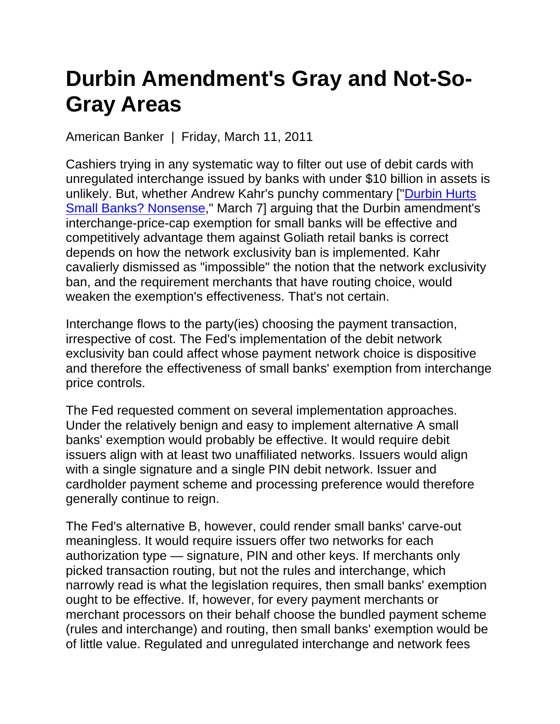## **Durbin Amendment's Gray and Not-So-Gray Areas**

American Banker | Friday, March 11, 2011

Cashiers trying in any systematic way to filter out use of debit cards with unregulated interchange issued by banks with under \$10 billion in assets is unlikely. But, whether Andrew Kahr's punchy commentary ["Durbin Hurts Small Banks? Nonsense," March 7] arguing that the Durbin amendment's interchange-price-cap exemption for small banks will be effective and competitively advantage them against Goliath retail banks is correct depends on how the network exclusivity ban is implemented. Kahr cavalierly dismissed as "impossible" the notion that the network exclusivity ban, and the requirement merchants that have routing choice, would weaken the exemption's effectiveness. That's not certain.

Interchange flows to the party(ies) choosing the payment transaction, irrespective of cost. The Fed's implementation of the debit network exclusivity ban could affect whose payment network choice is dispositive and therefore the effectiveness of small banks' exemption from interchange price controls.

The Fed requested comment on several implementation approaches. Under the relatively benign and easy to implement alternative A small banks' exemption would probably be effective. It would require debit issuers align with at least two unaffiliated networks. Issuers would align with a single signature and a single PIN debit network. Issuer and cardholder payment scheme and processing preference would therefore generally continue to reign.

The Fed's alternative B, however, could render small banks' carve-out meaningless. It would require issuers offer two networks for each authorization type — signature, PIN and other keys. If merchants only picked transaction routing, but not the rules and interchange, which narrowly read is what the legislation requires, then small banks' exemption ought to be effective. If, however, for every payment merchants or merchant processors on their behalf choose the bundled payment scheme (rules and interchange) and routing, then small banks' exemption would be of little value. Regulated and unregulated interchange and network fees